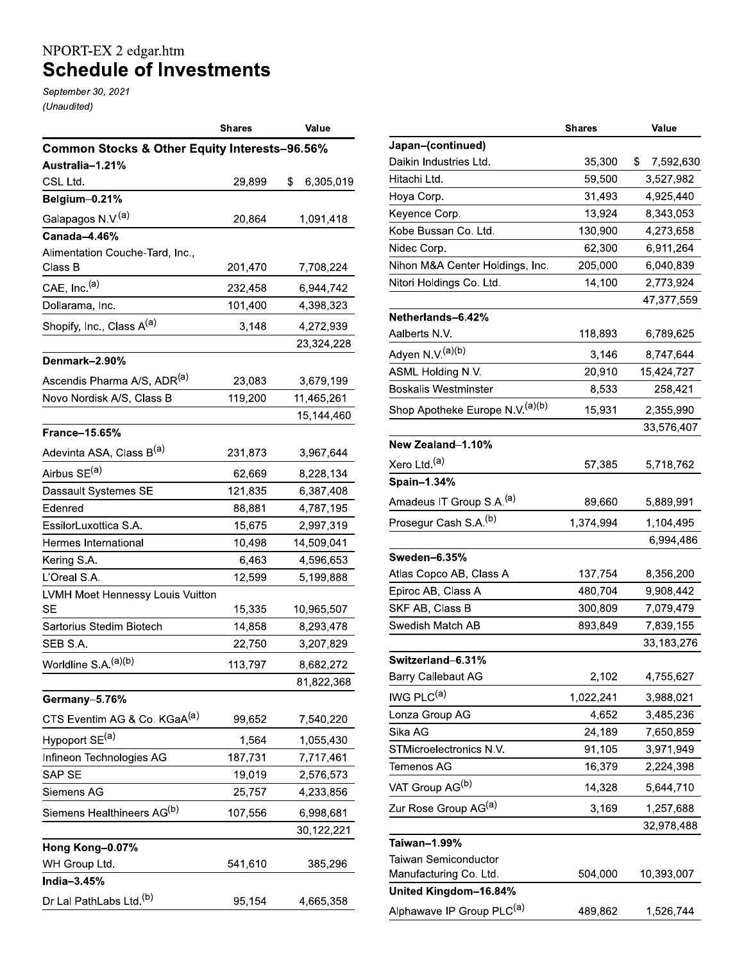## NPORT-EX 2 edgar.htm<br>Schedule of Investments

September 30, 2021 (Unaudited)

|                                                          | <b>Shares</b> | Value           |
|----------------------------------------------------------|---------------|-----------------|
| <b>Common Stocks &amp; Other Equity Interests-96.56%</b> |               |                 |
| Australia-1.21%                                          |               |                 |
| CSL Ltd.                                                 | 29,899        | \$<br>6,305,019 |
| Belgium-0.21%                                            |               |                 |
| Galapagos N.V. <sup>(a)</sup>                            | 20,864        | 1,091,418       |
| Canada-4.46%                                             |               |                 |
| Alimentation Couche-Tard, Inc.,                          |               |                 |
| Class B                                                  | 201,470       | 7,708,224       |
| CAE, Inc. <sup>(a)</sup>                                 | 232,458       | 6,944,742       |
| Dollarama, Inc.                                          | 101,400       | 4,398,323       |
| Shopify, Inc., Class A <sup>(a)</sup>                    | 3,148         | 4,272,939       |
|                                                          |               | 23,324,228      |
| Denmark-2.90%                                            |               |                 |
| Ascendis Pharma A/S, ADR <sup>(a)</sup>                  | 23,083        | 3,679,199       |
| Novo Nordisk A/S, Class B                                | 119,200       | 11,465,261      |
|                                                          |               | 15,144,460      |
| France-15.65%                                            |               |                 |
| Adevinta ASA, Class B <sup>(a)</sup>                     | 231,873       | 3,967,644       |
| Airbus SE <sup>(a)</sup>                                 | 62,669        | 8,228,134       |
| Dassault Systemes SE                                     | 121,835       | 6,387,408       |
| Edenred                                                  | 88,881        | 4,787,195       |
| EssilorLuxottica S.A.                                    | 15,675        | 2,997,319       |
| Hermes International                                     | 10,498        | 14,509,041      |
| Kering S.A.                                              | 6,463         | 4,596,653       |
| L'Oreal S.A.                                             | 12,599        | 5,199,888       |
| LVMH Moet Hennessy Louis Vuitton                         |               |                 |
| SE                                                       | 15,335        | 10,965,507      |
| Sartorius Stedim Biotech                                 | 14,858        | 8,293,478       |
| SEB S.A.                                                 | 22,750        | 3,207,829       |
| Worldline S.A. <sup>(a)(b)</sup>                         | 113,797       | 8,682,272       |
|                                                          |               | 81,822,368      |
| Germany-5.76%                                            |               |                 |
| CTS Eventim AG & Co. KGaA <sup>(a)</sup>                 | 99,652        | 7,540,220       |
| Hypoport SE <sup>(a)</sup>                               | 1,564         | 1,055,430       |
| Infineon Technologies AG                                 | 187,731       | 7,717,461       |
| SAP SE                                                   | 19,019        | 2,576,573       |
| Siemens AG                                               | 25,757        | 4,233,856       |
| Siemens Healthineers AG <sup>(b)</sup>                   | 107,556       | 6,998,681       |
|                                                          |               | 30,122,221      |
| Hong Kong-0.07%                                          |               |                 |
| WH Group Ltd.                                            | 541,610       | 385,296         |
| India-3.45%                                              |               |                 |
| Dr Lal PathLabs Ltd. <sup>(b)</sup>                      | 95,154        | 4,665,358       |

|                                             | Shares    | Value           |
|---------------------------------------------|-----------|-----------------|
| Japan-(continued)                           |           |                 |
| Daikin Industries Ltd.                      | 35,300    | \$<br>7,592,630 |
| Hitachi Ltd.                                | 59,500    | 3,527,982       |
| Hoya Corp.                                  | 31,493    | 4,925,440       |
| Keyence Corp.                               | 13,924    | 8,343,053       |
| Kobe Bussan Co. Ltd.                        | 130,900   | 4,273,658       |
| Nidec Corp.                                 | 62,300    | 6,911,264       |
| Nihon M&A Center Holdings, Inc.             | 205,000   | 6,040,839       |
| Nitori Holdings Co. Ltd.                    | 14,100    | 2,773,924       |
|                                             |           | 47,377,559      |
| Netherlands-6.42%                           |           |                 |
| Aalberts N.V.                               | 118,893   | 6,789,625       |
| Adyen N.V. <sup>(a)(b)</sup>                | 3,146     | 8,747,644       |
| ASML Holding N.V.                           | 20,910    | 15,424,727      |
| <b>Boskalis Westminster</b>                 | 8,533     | 258,421         |
| Shop Apotheke Europe N.V. <sup>(a)(b)</sup> | 15,931    | 2,355,990       |
|                                             |           | 33,576,407      |
| New Zealand-1.10%                           |           |                 |
| Xero Ltd. <sup>(a)</sup>                    | 57,385    | 5,718,762       |
| Spain-1.34%                                 |           |                 |
| Amadeus IT Group S.A. <sup>(a)</sup>        | 89,660    | 5,889,991       |
| Prosegur Cash S.A. <sup>(b)</sup>           | 1,374,994 | 1,104,495       |
|                                             |           | 6,994,486       |
| Sweden-6.35%                                |           |                 |
| Atlas Copco AB, Class A                     | 137,754   | 8,356,200       |
| Epiroc AB, Class A                          | 480,704   | 9,908,442       |
| SKF AB, Class B                             | 300,809   | 7,079,479       |
| Swedish Match AB                            | 893,849   | 7,839,155       |
|                                             |           | 33,183,276      |
| Switzerland-6.31%                           |           |                 |
| <b>Barry Callebaut AG</b>                   | 2,102     | 4,755,627       |
| IWG PLC <sup>(a)</sup>                      | 1,022,241 | 3,988,021       |
| Lonza Group AG                              | 4,652     | 3,485,236       |
| Sika AG                                     | 24,189    | 7,650,859       |
| STMicroelectronics N.V.                     | 91,105    | 3,971,949       |
| Temenos AG                                  | 16,379    | 2,224,398       |
| VAT Group AG <sup>(b)</sup>                 | 14,328    | 5,644,710       |
| Zur Rose Group AG <sup>(a)</sup>            | 3,169     | 1,257,688       |
|                                             |           | 32,978,488      |
| Taiwan-1.99%                                |           |                 |
| Taiwan Semiconductor                        |           |                 |
| Manufacturing Co. Ltd.                      | 504,000   | 10,393,007      |
| United Kingdom-16.84%                       |           |                 |
| Alphawave IP Group PLC <sup>(a)</sup>       | 489,862   | 1,526,744       |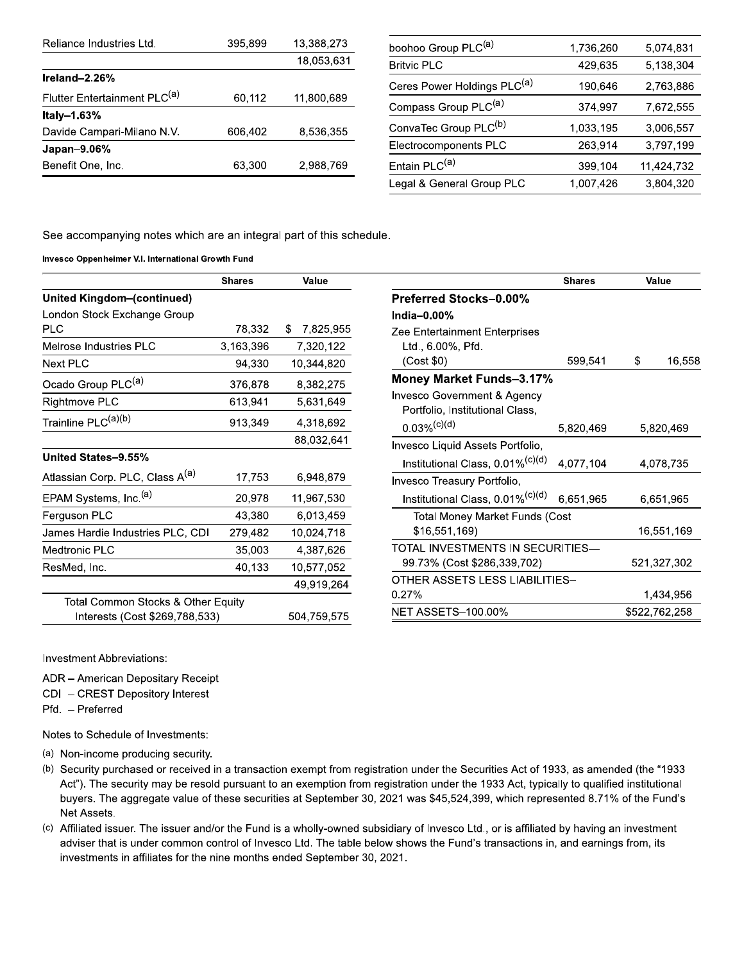| 395.899<br>Reliance Industries Ltd.      |         | 13,388,273<br>boohoo Group PLC <sup>(a)</sup> |                                         | 1,736,260 | 5,074,831  |
|------------------------------------------|---------|-----------------------------------------------|-----------------------------------------|-----------|------------|
|                                          |         | 18,053,631                                    | <b>Britvic PLC</b>                      | 429,635   | 5,138,304  |
| Ireland $-2.26\%$                        |         |                                               | Ceres Power Holdings PLC <sup>(a)</sup> | 190.646   | 2.763,886  |
| Flutter Entertainment PLC <sup>(a)</sup> | 60,112  | 11,800,689                                    | Compass Group PLC <sup>(a)</sup>        | 374.997   |            |
| Italy-1.63%                              |         |                                               |                                         |           | 7,672,555  |
| Davide Campari-Milano N.V.               | 606.402 | 8,536,355                                     | ConvaTec Group PLC <sup>(b)</sup>       | 1,033,195 | 3,006,557  |
| Japan-9.06 $%$                           |         |                                               | Electrocomponents PLC                   | 263,914   | 3,797,199  |
| Benefit One, Inc.                        | 63.300  | 2,988,769                                     | Entain PLC <sup>(a)</sup>               | 399.104   | 11,424,732 |
|                                          |         |                                               | Legal & General Group PLC               | 1.007.426 | 3.804.320  |

See accompanying notes which are an integral part of this schedule.

Invesco Oppenheimer V.I. International Growth Fund

|                                             | <b>Shares</b> | Value           |  |  |  |
|---------------------------------------------|---------------|-----------------|--|--|--|
| United Kingdom-(continued)                  |               |                 |  |  |  |
| London Stock Exchange Group                 |               |                 |  |  |  |
| PLC                                         | 78,332        | \$<br>7,825,955 |  |  |  |
| Melrose Industries PLC                      | 3,163,396     | 7,320,122       |  |  |  |
| Next PLC                                    | 94,330        | 10,344,820      |  |  |  |
| Ocado Group PLC <sup>(a)</sup>              | 376,878       | 8,382,275       |  |  |  |
| Rightmove PLC                               | 613,941       | 5,631,649       |  |  |  |
| Trainline PLC <sup>(a)(b)</sup>             | 913,349       | 4,318,692       |  |  |  |
|                                             |               | 88,032,641      |  |  |  |
| United States-9.55%                         |               |                 |  |  |  |
| Atlassian Corp. PLC, Class A <sup>(a)</sup> | 17,753        | 6.948.879       |  |  |  |
| EPAM Systems, Inc. <sup>(a)</sup>           | 20,978        | 11,967,530      |  |  |  |
| Ferguson PLC                                | 43,380        | 6,013,459       |  |  |  |
| James Hardie Industries PLC, CDI            | 279,482       | 10,024,718      |  |  |  |
| Medtronic PLC                               | 35,003        | 4,387,626       |  |  |  |
| ResMed, Inc.                                | 40,133        | 10,577,052      |  |  |  |
|                                             |               | 49,919,264      |  |  |  |
| Total Common Stocks & Other Equity          |               |                 |  |  |  |
| Interests (Cost \$269,788,533)              |               | 504,759,575     |  |  |  |

|                                                                           | <b>Shares</b> | Value |             |
|---------------------------------------------------------------------------|---------------|-------|-------------|
| Preferred Stocks–0.00%                                                    |               |       |             |
| India–0.00%                                                               |               |       |             |
| Zee Entertainment Enterprises<br>Ltd., 6.00%, Pfd.                        |               |       |             |
| (Cost \$0)                                                                | 599,541       | \$    | 16,558      |
| Money Market Funds–3.17%                                                  |               |       |             |
| <b>Invesco Government &amp; Agency</b><br>Portfolio, Institutional Class, |               |       |             |
| $0.03\%$ <sup>(c)(d)</sup>                                                | 5,820,469     |       | 5,820,469   |
| Invesco Liquid Assets Portfolio,                                          |               |       |             |
| Institutional Class, 0.01% <sup>(c)(d)</sup>                              | 4,077,104     |       | 4,078,735   |
| Invesco Treasury Portfolio,                                               |               |       |             |
| Institutional Class, 0.01% <sup>(c)(d)</sup>                              | 6,651,965     |       | 6,651,965   |
| Total Money Market Funds (Cost                                            |               |       |             |
| \$16,551,169)                                                             |               |       | 16,551,169  |
| TOTAL INVESTMENTS IN SECURITIES-                                          |               |       |             |
| 99.73% (Cost \$286,339,702)                                               |               |       | 521,327,302 |
| OTHER ASSETS LESS LIABILITIES-                                            |               |       |             |
| 0.27%                                                                     |               |       | 1.434.956   |

\$522,762,258

Investment Abbreviations:

ADR - American Depositary Receipt

CDI - CREST Depository Interest

Pfd. - Preferred

Notes to Schedule of Investments:

(a) Non-income producing security.

(b) Security purchased or received in a transaction exempt from registration under the Securities Act of 1933, as amended (the "1933 Act"). The security may be resold pursuant to an exemption from registration under the 1933 Act, typically to qualified institutional buyers. The aggregate value of these securities at September 30, 2021 was \$45,524,399, which represented 8.71% of the Fund's Net Assets.

**NET ASSETS-100.00%** 

(c) Affiliated issuer. The issuer and/or the Fund is a wholly-owned subsidiary of Invesco Ltd., or is affiliated by having an investment adviser that is under common control of Invesco Ltd. The table below shows the Fund's transactions in, and earnings from, its investments in affiliates for the nine months ended September 30, 2021.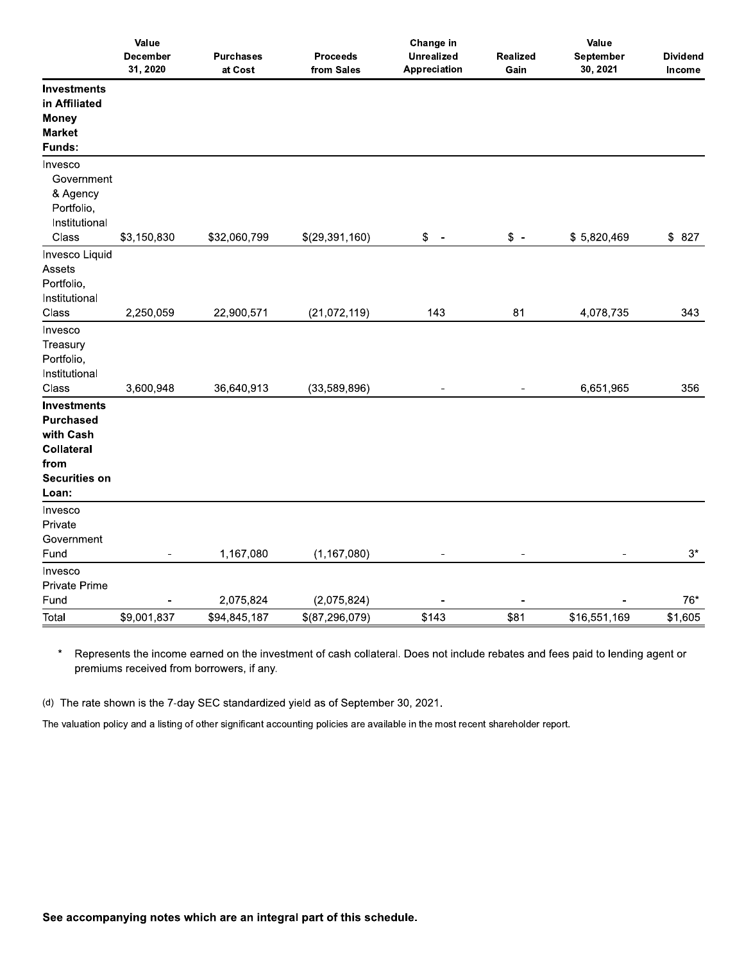|                                                                                                            | Value<br><b>December</b><br>31, 2020 | <b>Purchases</b><br>at Cost | <b>Proceeds</b><br>from Sales | Change in<br><b>Unrealized</b><br>Appreciation | <b>Realized</b><br>Gain  | Value<br>September<br>30, 2021 | <b>Dividend</b><br>Income |
|------------------------------------------------------------------------------------------------------------|--------------------------------------|-----------------------------|-------------------------------|------------------------------------------------|--------------------------|--------------------------------|---------------------------|
| Investments<br>in Affiliated<br><b>Money</b><br><b>Market</b><br>Funds:                                    |                                      |                             |                               |                                                |                          |                                |                           |
| Invesco<br>Government<br>& Agency<br>Portfolio,<br>Institutional<br>Class                                  | \$3,150,830                          | \$32,060,799                | \$(29,391,160)                | \$<br>$\overline{\phantom{a}}$                 | $$ -$                    | \$5,820,469                    | \$827                     |
| Invesco Liquid<br>Assets<br>Portfolio,<br>Institutional<br>Class                                           | 2,250,059                            | 22,900,571                  | (21, 072, 119)                | 143                                            | 81                       | 4,078,735                      | 343                       |
| Invesco<br>Treasury<br>Portfolio,<br>Institutional<br>Class                                                | 3,600,948                            | 36,640,913                  | (33,589,896)                  | $\blacksquare$                                 |                          | 6,651,965                      | 356                       |
| <b>Investments</b><br><b>Purchased</b><br>with Cash<br>Collateral<br>from<br><b>Securities on</b><br>Loan: |                                      |                             |                               |                                                |                          |                                |                           |
| Invesco<br>Private<br>Government<br>Fund                                                                   | $\overline{\phantom{a}}$             | 1,167,080                   | (1, 167, 080)                 | $\overline{\phantom{a}}$                       | $\overline{\phantom{a}}$ | $\overline{\phantom{a}}$       | $3^{\star}$               |
| Invesco<br><b>Private Prime</b><br>Fund                                                                    |                                      | 2,075,824                   | (2,075,824)                   |                                                |                          |                                | $76*$                     |
| Total                                                                                                      | \$9,001,837                          | \$94,845,187                | \$(87,296,079)                | \$143                                          | \$81                     | \$16,551,169                   | \$1,605                   |

 $\star$ Represents the income earned on the investment of cash collateral. Does not include rebates and fees paid to lending agent or premiums received from borrowers, if any.

(d) The rate shown is the 7-day SEC standardized yield as of September 30, 2021.

The valuation policy and a listing of other significant accounting policies are available in the most recent shareholder report.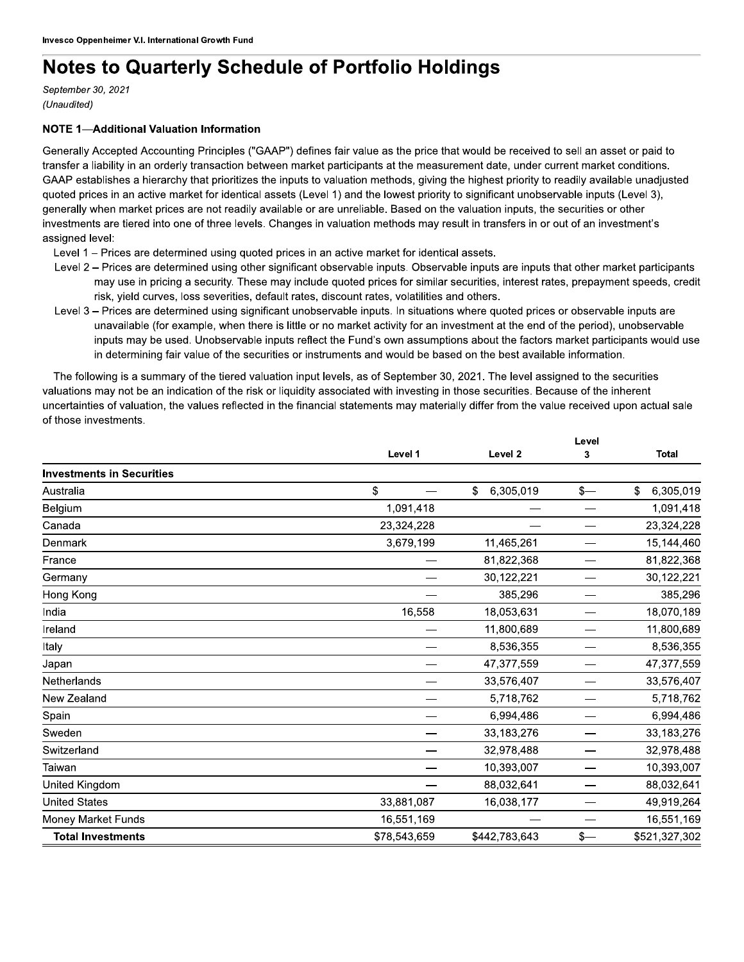## Notes to Quarterly Schedule of Portfollo Holdings

(Unaudited)

## $\overline{\mathsf{NULL}}$  1—Additional valuation information

Invesco Oppenheimer V.I. Internation<br>
September 30, 2021<br>
(Unaudited)<br>
NOTE 1—Additional Valuation<br>
Generally Accepted Accountin<br>
transfer a liability in an orderly<br>
GAAP establishes a hierarchy Generally Accepted Accounting Principles ("GAAP") defines fair value as the price that would be received to sell an asset or paid to transfer a liability in an orderly transaction between market participants at the measurement date, under current market conditions. GAAP establishes a hierarchy that prioritizes the inputs to valuation methods, giving the highest priority to readily available unadjusted quoted prices in an active market for identical assets (Level 1) and the lowest priority to significant unobservable inputs (Level 3), generally when market prices are not readily available or are unreliable. Based on the valuation inputs, the securities or other investments are tiered into one of three levels. Changes in valuation methods may result in transfers in or out of an investment's assigned level:

- Level 1 Prices are determined using quoted prices in an active market for identical assets.
- Level 2 Prices are determined using other significant observable inputs. Observable inputs are inputs that other market participants may use in pricing a security. These may include quoted prices for similar securities, interest rates, prepayment speeds, credit risk, yield curves, loss severities, default rates, discount rates, volatilities and others.
- Level 3 Prices are determined using significant unobservable inputs. In situations where quoted prices or observable inputs are unavailable (for example, when there is little or no market activity for an investment at the end of the period), unobservable inputs may be used. Unobservable inputs reflect the Fund's own assumptions about the factors market participants would use in determining fair value of the securities or instruments and would be based on the best available information.

The following is a summary of the tiered valuation input levels, as of September 30, 2021. The level assigned to the securities valuations may not be an indication of the risk or liquidity associated with investing in those securities. Because of the inherent uncertainties of valuation, the values reflected in the financial statements may materially differ from the value received upon actual sale of those investments.

|                                  |              |                    | Level         |                 |
|----------------------------------|--------------|--------------------|---------------|-----------------|
|                                  | Level 1      | Level <sub>2</sub> | 3             | <b>Total</b>    |
| <b>Investments in Securities</b> |              |                    |               |                 |
| Australia                        | \$           | \$<br>6,305,019    | $\frac{2}{3}$ | 6,305,019<br>\$ |
| Belgium                          | 1,091,418    |                    |               | 1,091,418       |
| Canada                           | 23,324,228   |                    |               | 23,324,228      |
| Denmark                          | 3,679,199    | 11,465,261         |               | 15,144,460      |
| France                           |              | 81,822,368         |               | 81,822,368      |
| Germany                          |              | 30,122,221         |               | 30,122,221      |
| Hong Kong                        |              | 385,296            |               | 385,296         |
| India                            | 16,558       | 18,053,631         |               | 18,070,189      |
| Ireland                          |              | 11,800,689         |               | 11,800,689      |
| Italy                            |              | 8,536,355          |               | 8,536,355       |
| Japan                            |              | 47,377,559         |               | 47,377,559      |
| Netherlands                      |              | 33,576,407         |               | 33,576,407      |
| New Zealand                      |              | 5,718,762          |               | 5,718,762       |
| Spain                            |              | 6,994,486          |               | 6,994,486       |
| Sweden                           |              | 33,183,276         |               | 33,183,276      |
| Switzerland                      |              | 32,978,488         |               | 32,978,488      |
| Taiwan                           |              | 10,393,007         |               | 10,393,007      |
| United Kingdom                   |              | 88,032,641         |               | 88,032,641      |
| <b>United States</b>             | 33,881,087   | 16,038,177         |               | 49,919,264      |
| Money Market Funds               | 16,551,169   |                    |               | 16,551,169      |
| <b>Total Investments</b>         | \$78,543,659 | \$442,783,643      | $\frac{2}{3}$ | \$521,327,302   |